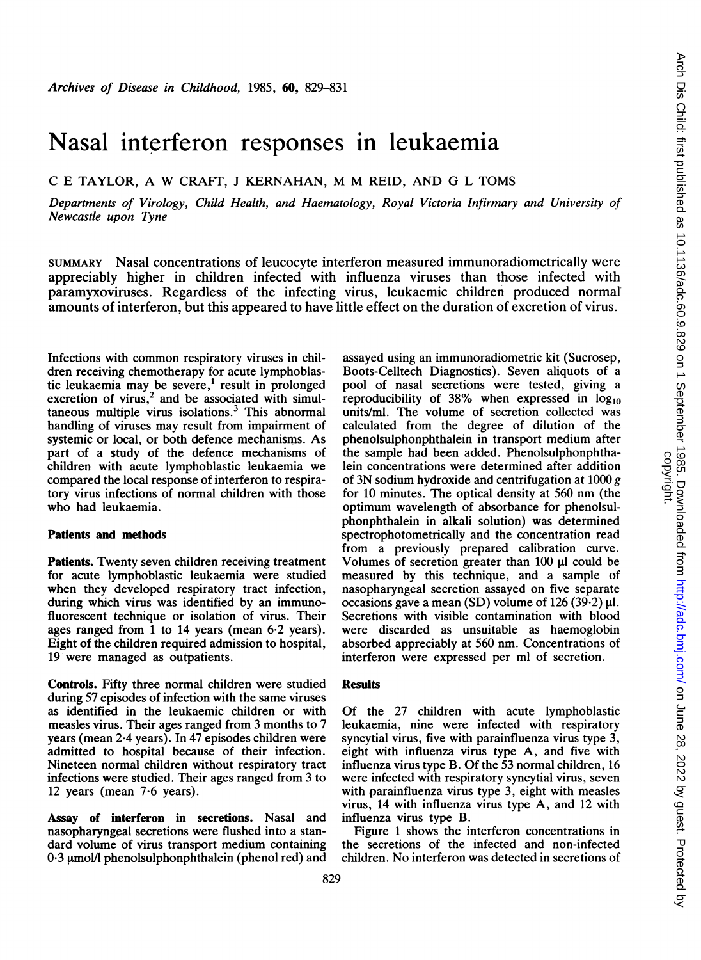# Nasal interferon responses in leukaemia

C <sup>E</sup> TAYLOR, A W CRAFT, <sup>J</sup> KERNAHAN, M M REID, AND G <sup>L</sup> TOMS

Departments of Virology, Child Health, and Haematology, Royal Victoria Infirmary and University of Newcastle upon Tyne

SUMMARY Nasal concentrations of leucocyte interferon measured immunoradiometrically were appreciably higher in children infected with influenza viruses than those infected with paramyxoviruses. Regardless of the infecting virus, leukaemic children produced normal amounts of interferon, but this appeared to have little effect on the duration of excretion of virus.

Infections with common respiratory viruses in children receiving chemotherapy for acute lymphoblastic leukaemia may be severe, $<sup>1</sup>$  result in prolonged</sup> excretion of virus,<sup>2</sup> and be associated with simul $taneous$  multiple virus isolations.<sup>3</sup> This abnormal handling of viruses may result from impairment of systemic or local, or both defence mechanisms. As part of a study of the defence mechanisms of children with acute lymphoblastic leukaemia we compared the local response of interferon to respiratory virus infections of normal children with those who had leukaemia.

## Patients and methods

Patients. Twenty seven children receiving treatment for acute lymphoblastic leukaemia were studied when they developed respiratory tract infection, during which virus was identified by an immunofluorescent technique or isolation of virus. Their ages ranged from <sup>1</sup> to 14 years (mean 6-2 years). Eight of the children required admission to hospital, 19 were managed as outpatients.

Controls. Fifty three normal children were studied during 57 episodes of infection with the same viruses as identified in the leukaemic children or with measles virus. Their ages ranged from 3 months to 7 years (mean 2.4 years). In 47 episodes children were admitted to hospital because of their infection. Nineteen normal children without respiratory tract infections were studied. Their ages ranged from 3 to 12 years (mean 7-6 years).

Assay of interferon in secretions. Nasal and nasopharyngeal secretions were flushed into a standard volume of virus transport medium containing  $0.3$  umol/l phenolsulphonphthalein (phenol red) and assayed using an immunoradiometric kit (Sucrosep, Boots-Celltech Diagnostics). Seven aliquots of a pool of nasal secretions were tested, giving a reproducibility of 38% when expressed in  $log_{10}$ units/ml. The volume of secretion collected was calculated from the degree of dilution of the phenolsulphonphthalein in transport medium after the sample had been added. Phenolsulphonphthalein concentrations were determined after addition of 3N sodium hydroxide and centrifugation at 1000 g for <sup>10</sup> minutes. The optical density at 560 nm (the optimum wavelength of absorbance for phenolsulphonphthalein in alkali solution) was determined spectrophotometrically and the concentration read from a previously prepared calibration curve. Volumes of secretion greater than  $100 \mu l$  could be measured by this technique, and a sample of nasopharyngeal secretion assayed on five separate occasions gave a mean (SD) volume of 126 (39.2)  $\mu$ l. Secretions with visible contamination with blood were discarded as unsuitable as haemoglobin absorbed appreciably at 560 nm. Concentrations of interferon were expressed per ml of secretion.

## **Results**

Of the 27 children with acute lymphoblastic leukaemia, nine were infected with respiratory syncytial virus, five with parainfluenza virus type 3, eight with influenza virus type A, and five with influenza virus type B. Of the 53 normal children, 16 were infected with respiratory syncytial virus, seven with parainfluenza virus type 3, eight with measles virus, 14 with influenza virus type A, and 12 with influenza virus type B.

Figure <sup>1</sup> shows the interferon concentrations in the secretions of the infected and non-infected children. No interferon was detected in secretions of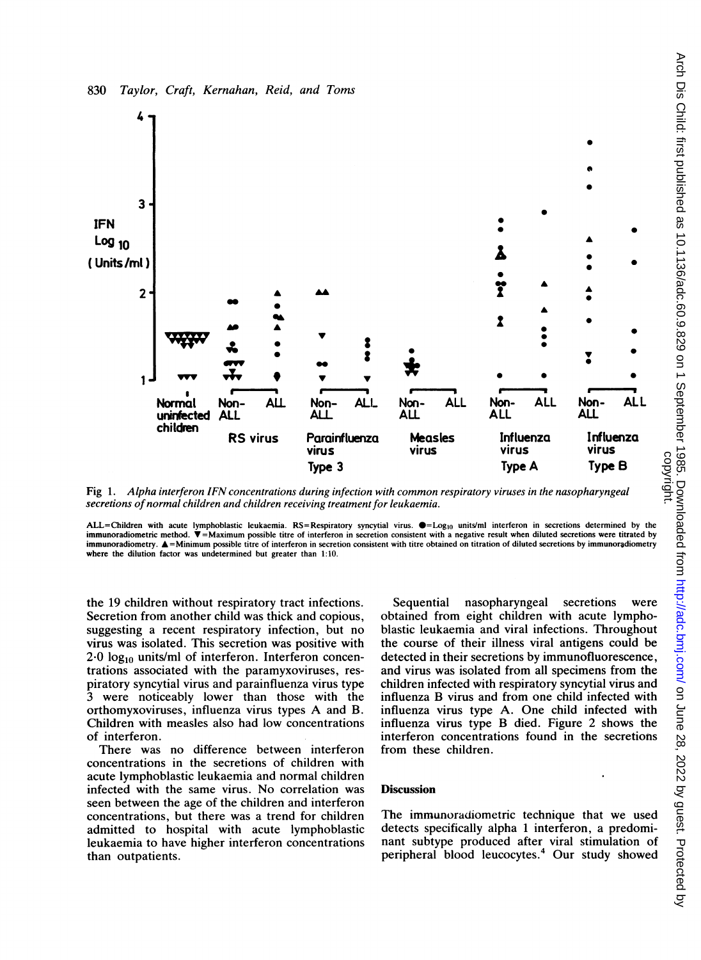

Fig 1. Alpha interferon IFN concentrations during infection with common respiratory viruses in the nasopharyngeal secretions of normal children and children receiving treatment for leukaemia.

ALL=Children with acute lymphoblastic leukaemia. RS=Respiratory syncytial virus.  $\bullet =$ Log<sub>10</sub> units/ml interferon in secretions determined by the immunoradiometric method.  $\blacktriangledown =$ Maximum possible titre of interferon in secretion consistent with a negative result when diluted secretions were titrated by immunoradiometry. A=Minimum possible titre of interferon in secretion consistent with titre obtained on titration of diluted secretions by immunoradiometry where the dilution factor was undetermined but greater than 1:10.

the 19 children without respiratory tract infections. Secretion from another child was thick and copious, suggesting a recent respiratory infection, but no virus was isolated. This secretion was positive with  $2.0$  log<sub>10</sub> units/ml of interferon. Interferon concentrations associated with the paramyxoviruses, respiratory syncytial virus and parainfluenza virus type 3 were noticeably lower than those with the orthomyxoviruses, influenza virus types A and B. Children with measles also had low concentrations of interferon.

There was no difference between interferon concentrations in the secretions of children with acute lymphoblastic leukaemia and normal children infected with the same virus. No correlation was seen between the age of the children and interferon concentrations, but there was a trend for children admitted to hospital with acute lymphoblastic leukaemia to have higher interferon concentrations than outpatients.

Sequential nasopharyngeal secretions were obtained from eight children with acute lymphoblastic leukaemia and viral infections. Throughout the course of their illness viral antigens could be detected in their secretions by immunofluorescence, and virus was isolated from all specimens from the children infected with respiratory syncytial virus and influenza B virus and from one child infected with influenza virus type A. One child infected with influenza virus type B died. Figure 2 shows the interferon concentrations found in the secretions from these children.

### **Discussion**

The immunoradiometric technique that we used detects specifically alpha <sup>1</sup> interferon, a predominant subtype produced after viral stimulation of peripheral blood leucocytes.4 Our study showed